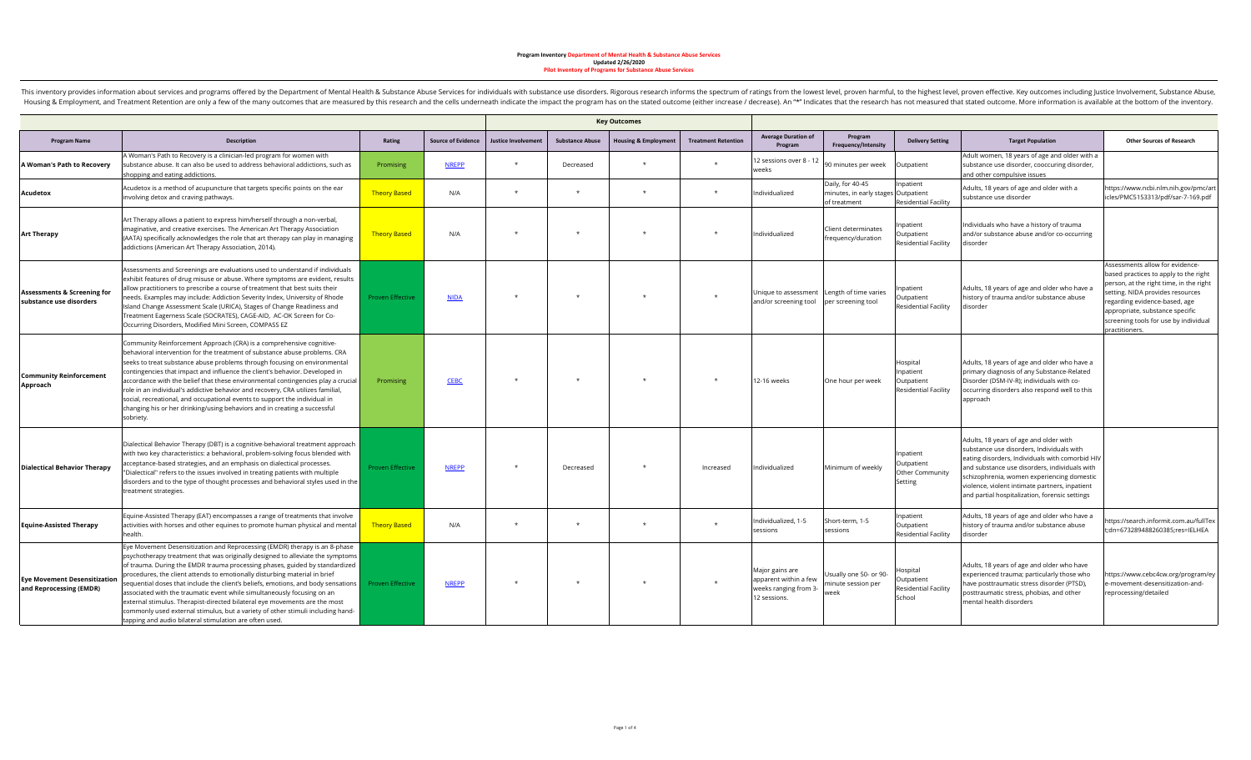|                                                                   |                                                                                                                                                                                                                                                                                                                                                                                                                                                                                                                                                                                                                                                                                                                       |                         |                           | <b>Key Outcomes</b>       |                        |                                 |                            |                                                                                        |                                                              |                                                                 |                                                                                                                                                                                                                                                                                                                                           |                                                                                                                                                                                                                                                                                        |
|-------------------------------------------------------------------|-----------------------------------------------------------------------------------------------------------------------------------------------------------------------------------------------------------------------------------------------------------------------------------------------------------------------------------------------------------------------------------------------------------------------------------------------------------------------------------------------------------------------------------------------------------------------------------------------------------------------------------------------------------------------------------------------------------------------|-------------------------|---------------------------|---------------------------|------------------------|---------------------------------|----------------------------|----------------------------------------------------------------------------------------|--------------------------------------------------------------|-----------------------------------------------------------------|-------------------------------------------------------------------------------------------------------------------------------------------------------------------------------------------------------------------------------------------------------------------------------------------------------------------------------------------|----------------------------------------------------------------------------------------------------------------------------------------------------------------------------------------------------------------------------------------------------------------------------------------|
| <b>Program Name</b>                                               | <b>Description</b>                                                                                                                                                                                                                                                                                                                                                                                                                                                                                                                                                                                                                                                                                                    | Rating                  | <b>Source of Evidence</b> | <b>Justice Involvemen</b> | <b>Substance Abuse</b> | <b>Housing &amp; Employment</b> | <b>Treatment Retention</b> | <b>Average Duration of</b><br>Program                                                  | Program<br>Frequency/Intensity                               | <b>Delivery Setting</b>                                         | <b>Target Population</b>                                                                                                                                                                                                                                                                                                                  | <b>Other Sources of Research</b>                                                                                                                                                                                                                                                       |
| A Woman's Path to Recovery                                        | A Woman's Path to Recovery is a clinician-led program for women with<br>substance abuse. It can also be used to address behavioral addictions, such as<br>shopping and eating addictions.                                                                                                                                                                                                                                                                                                                                                                                                                                                                                                                             | Promising               | <b>NREPP</b>              |                           | Decreased              |                                 |                            | 2 sessions over 8 - 12<br>weeks                                                        | 90 minutes per week                                          | Outpatient                                                      | Adult women, 18 years of age and older with a<br>substance use disorder, cooccuring disorder,<br>and other compulsive issues                                                                                                                                                                                                              |                                                                                                                                                                                                                                                                                        |
| Acudetox                                                          | Acudetox is a method of acupuncture that targets specific points on the ear<br>nvolving detox and craving pathways.                                                                                                                                                                                                                                                                                                                                                                                                                                                                                                                                                                                                   | <b>Theory Based</b>     | N/A                       | $\star$                   |                        |                                 |                            | Individualized                                                                         | Daily, for 40-45<br>minutes, in early stages<br>of treatment | npatient<br>Outpatient<br><b>Residential Facility</b>           | Adults, 18 years of age and older with a<br>substance use disorder                                                                                                                                                                                                                                                                        | https://www.ncbi.nlm.nih.gov/pmc/art<br>icles/PMC5153313/pdf/sar-7-169.pdf                                                                                                                                                                                                             |
| <b>Art Therapy</b>                                                | Art Therapy allows a patient to express him/herself through a non-verbal,<br>maginative, and creative exercises. The American Art Therapy Association<br>(AATA) specifically acknowledges the role that art therapy can play in managing<br>addictions (American Art Therapy Association, 2014).                                                                                                                                                                                                                                                                                                                                                                                                                      | <b>Theory Based</b>     | N/A                       |                           |                        |                                 |                            | Individualized                                                                         | Client determinates<br>frequency/duration                    | npatient<br>Outpatient<br><b>Residential Facility</b>           | Individuals who have a history of trauma<br>and/or substance abuse and/or co-occurring<br>disorder                                                                                                                                                                                                                                        |                                                                                                                                                                                                                                                                                        |
| <b>Assessments &amp; Screening for</b><br>substance use disorders | Assessments and Screenings are evaluations used to understand if individuals<br>exhibit features of drug misuse or abuse. Where symptoms are evident, results<br>allow practitioners to prescribe a course of treatment that best suits their<br>needs. Examples may include: Addiction Severity Index, University of Rhode<br>sland Change Assessment Scale (URICA), Stages of Change Readiness and<br>Treatment Eagerness Scale (SOCRATES), CAGE-AID, AC-OK Screen for Co-<br>Occurring Disorders, Modified Mini Screen, COMPASS EZ                                                                                                                                                                                 | <b>Proven Effective</b> | <b>NIDA</b>               |                           |                        |                                 |                            | Unique to assessment Length of time varies<br>and/or screening tool per screening tool |                                                              | npatient<br>Outpatient<br><b>Residential Facility</b>           | Adults, 18 years of age and older who have a<br>history of trauma and/or substance abuse<br>disorder                                                                                                                                                                                                                                      | Assessments allow for evidence-<br>based practices to apply to the right<br>person, at the right time, in the right<br>setting. NIDA provides resources<br>regarding evidence-based, age<br>appropriate, substance specific<br>screening tools for use by individual<br>practitioners. |
| <b>Community Reinforcement</b><br>Approach                        | Community Reinforcement Approach (CRA) is a comprehensive cognitive-<br>behavioral intervention for the treatment of substance abuse problems. CRA<br>seeks to treat substance abuse problems through focusing on environmental<br>contingencies that impact and influence the client's behavior. Developed in<br>accordance with the belief that these environmental contingencies play a crucial<br>role in an individual's addictive behavior and recovery, CRA utilizes familial,<br>social, recreational, and occupational events to support the individual in<br>changing his or her drinking/using behaviors and in creating a successful<br>sobriety.                                                         | Promising               | <b>CEBC</b>               |                           |                        |                                 |                            | 12-16 weeks                                                                            | One hour per week                                            | Hospital<br>npatient<br>Outpatient<br>Residential Facility      | Adults, 18 years of age and older who have a<br>primary diagnosis of any Substance-Related<br>Disorder (DSM-IV-R); individuals with co-<br>occurring disorders also respond well to this<br>approach                                                                                                                                      |                                                                                                                                                                                                                                                                                        |
| <b>Dialectical Behavior Therapy</b>                               | Dialectical Behavior Therapy (DBT) is a cognitive-behavioral treatment approach<br>with two key characteristics: a behavioral, problem-solving focus blended with<br>acceptance-based strategies, and an emphasis on dialectical processes.<br>'Dialectical" refers to the issues involved in treating patients with multiple<br>disorders and to the type of thought processes and behavioral styles used in the<br>treatment strategies.                                                                                                                                                                                                                                                                            | <b>Proven Effective</b> | <b>NREPP</b>              | $\star$                   | Decreased              |                                 | Increased                  | Individualized                                                                         | Minimum of weekly                                            | Inpatient<br>Outpatient<br>Other Community<br>Setting           | Adults, 18 years of age and older with<br>substance use disorders, Individuals with<br>eating disorders, Individuals with comorbid HIV<br>and substance use disorders, individuals with<br>schizophrenia, women experiencing domestic<br>violence, violent intimate partners, inpatient<br>and partial hospitalization, forensic settings |                                                                                                                                                                                                                                                                                        |
| <b>Equine-Assisted Therapy</b>                                    | Equine-Assisted Therapy (EAT) encompasses a range of treatments that involve<br>activities with horses and other equines to promote human physical and mental<br>ealth.                                                                                                                                                                                                                                                                                                                                                                                                                                                                                                                                               | <b>Theory Based</b>     | N/A                       |                           |                        |                                 |                            | Individualized, 1-5<br>sessions                                                        | Short-term, 1-5<br>sessions                                  | npatient<br>Outpatient<br><b>Residential Facility</b>           | Adults, 18 years of age and older who have a<br>history of trauma and/or substance abuse<br>disorder                                                                                                                                                                                                                                      | https://search.informit.com.au/fullTex<br>t:dn=673289488260385:res=IELHEA                                                                                                                                                                                                              |
| <b>Eye Movement Desensitization</b><br>and Reprocessing (EMDR)    | Eye Movement Desensitization and Reprocessing (EMDR) therapy is an 8-phase<br>psychotherapy treatment that was originally designed to alleviate the symptoms<br>of trauma. During the EMDR trauma processing phases, guided by standardized<br>procedures, the client attends to emotionally disturbing material in brief<br>sequential doses that include the client's beliefs, emotions, and body sensations<br>associated with the traumatic event while simultaneously focusing on an<br>external stimulus. Therapist-directed bilateral eye movements are the most<br>commonly used external stimulus, but a variety of other stimuli including hand-<br>tapping and audio bilateral stimulation are often used. | <b>Proven Effective</b> | <b>NREPP</b>              | $\star$                   | $\star$                |                                 |                            | Major gains are<br>apparent within a few<br>weeks ranging from 3-<br>12 sessions.      | Usually one 50- or 90-<br>minute session per<br>week         | Hospital<br>Outpatient<br><b>Residential Facility</b><br>School | Adults, 18 years of age and older who have<br>experienced trauma; particularly those who<br>have posttraumatic stress disorder (PTSD),<br>posttraumatic stress, phobias, and other<br>mental health disorders                                                                                                                             | https://www.cebc4cw.org/program/ey<br>e-movement-desensitization-and-<br>reprocessing/detailed                                                                                                                                                                                         |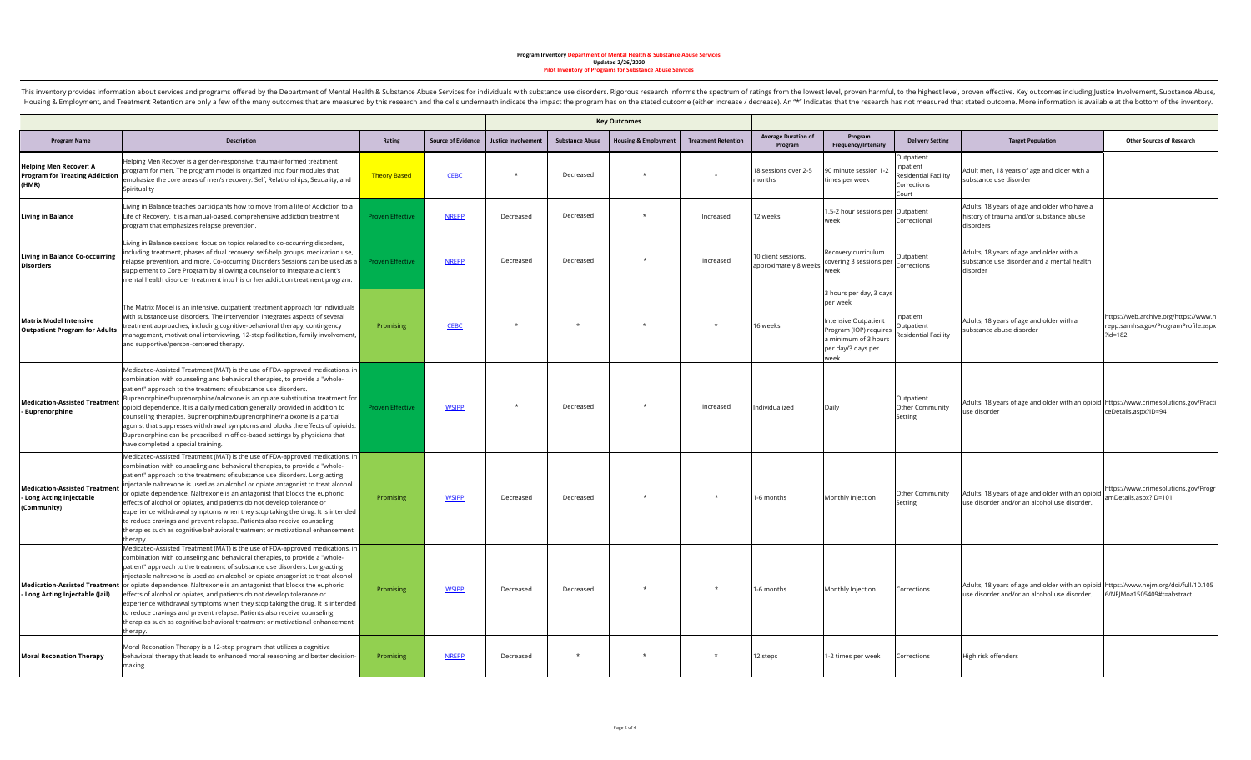|                                                                                 |                                                                                                                                                                                                                                                                                                                                                                                                                                                                                                                                                                                                                                                                                                                                                 |                         |                           | <b>Key Outcomes</b>       |                        |                                 |                            |                                              |                                                                                                                                             |                                                                         |                                                                                                                                       |                                                                                           |
|---------------------------------------------------------------------------------|-------------------------------------------------------------------------------------------------------------------------------------------------------------------------------------------------------------------------------------------------------------------------------------------------------------------------------------------------------------------------------------------------------------------------------------------------------------------------------------------------------------------------------------------------------------------------------------------------------------------------------------------------------------------------------------------------------------------------------------------------|-------------------------|---------------------------|---------------------------|------------------------|---------------------------------|----------------------------|----------------------------------------------|---------------------------------------------------------------------------------------------------------------------------------------------|-------------------------------------------------------------------------|---------------------------------------------------------------------------------------------------------------------------------------|-------------------------------------------------------------------------------------------|
| <b>Program Name</b>                                                             | <b>Description</b>                                                                                                                                                                                                                                                                                                                                                                                                                                                                                                                                                                                                                                                                                                                              | Rating                  | <b>Source of Evidence</b> | <b>Justice Involvemen</b> | <b>Substance Abuse</b> | <b>Housing &amp; Employment</b> | <b>Treatment Retention</b> | <b>Average Duration of</b><br>Program        | Program<br>Frequency/Intensity                                                                                                              | <b>Delivery Setting</b>                                                 | <b>Target Population</b>                                                                                                              | <b>Other Sources of Research</b>                                                          |
| <b>Helping Men Recover: A</b><br><b>Program for Treating Addiction</b><br>(HMR) | Helping Men Recover is a gender-responsive, trauma-informed treatment<br>program for men. The program model is organized into four modules that<br>emphasize the core areas of men's recovery: Self, Relationships, Sexuality, and<br>Spirituality                                                                                                                                                                                                                                                                                                                                                                                                                                                                                              | <b>Theory Based</b>     | <b>CEBC</b>               | $^\star$                  | Decreased              | $\star$                         | $\star$                    | 18 sessions over 2-5<br>months               | 90 minute session 1-2<br>times per week                                                                                                     | Outpatient<br>Inpatient<br>Residential Facility<br>Corrections<br>Court | Adult men, 18 years of age and older with a<br>substance use disorder                                                                 |                                                                                           |
| <b>Living in Balance</b>                                                        | iving in Balance teaches participants how to move from a life of Addiction to a<br>Life of Recovery. It is a manual-based, comprehensive addiction treatment<br>program that emphasizes relapse prevention.                                                                                                                                                                                                                                                                                                                                                                                                                                                                                                                                     | <b>Proven Effective</b> | <b>NREPP</b>              | Decreased                 | Decreased              | $\star$                         | Increased                  | 12 weeks                                     | 1.5-2 hour sessions per Outpatient<br>week                                                                                                  | Correctional                                                            | Adults, 18 years of age and older who have a<br>history of trauma and/or substance abuse<br>disorders                                 |                                                                                           |
| Living in Balance Co-occurring<br>Disorders                                     | iving in Balance sessions focus on topics related to co-occurring disorders,<br>ncluding treatment, phases of dual recovery, self-help groups, medication use,<br>elapse prevention, and more. Co-occurring Disorders Sessions can be used as a<br>supplement to Core Program by allowing a counselor to integrate a client's<br>mental health disorder treatment into his or her addiction treatment program.                                                                                                                                                                                                                                                                                                                                  | <b>Proven Effective</b> | <b>NREPP</b>              | Decreased                 | Decreased              |                                 | Increased                  | 10 client sessions,<br>approximately 8 weeks | Recovery curriculum<br>covering 3 sessions per<br>week                                                                                      | Outpatient<br>Corrections                                               | Adults, 18 years of age and older with a<br>substance use disorder and a mental health<br>disorder                                    |                                                                                           |
| <b>Matrix Model Intensive</b><br><b>Outpatient Program for Adults</b>           | The Matrix Model is an intensive, outpatient treatment approach for individuals<br>with substance use disorders. The intervention integrates aspects of several<br>reatment approaches, including cognitive-behavioral therapy, contingency<br>management, motivational interviewing, 12-step facilitation, family involvement,<br>and supportive/person-centered therapy.                                                                                                                                                                                                                                                                                                                                                                      | <b>Promising</b>        | <b>CEBC</b>               | $\star$                   |                        |                                 | $\star$                    | 16 weeks                                     | 3 hours per day, 3 days<br>per week<br>Intensive Outpatient<br>Program (IOP) requires<br>a minimum of 3 hours<br>per day/3 days per<br>week | npatient<br>Outpatient<br>Residential Facility                          | Adults, 18 years of age and older with a<br>substance abuse disorder                                                                  | https://web.archive.org/https://www.r<br>repp.samhsa.gov/ProgramProfile.aspx<br>$2id=182$ |
| <b>Medication-Assisted Treatment</b><br>- Buprenorphine                         | Medicated-Assisted Treatment (MAT) is the use of FDA-approved medications, in<br>combination with counseling and behavioral therapies, to provide a "whole-<br>patient" approach to the treatment of substance use disorders.<br>Buprenorphine/buprenorphine/naloxone is an opiate substitution treatment for<br>opioid dependence. It is a daily medication generally provided in addition to<br>counseling therapies. Buprenorphine/buprenorphine/naloxone is a partial<br>agonist that suppresses withdrawal symptoms and blocks the effects of opioids.<br>Buprenorphine can be prescribed in office-based settings by physicians that<br>have completed a special training.                                                                | <b>Proven Effective</b> | <b>WSIPP</b>              | $\star$                   | Decreased              | $\star$                         | Increased                  | Individualized                               | Daily                                                                                                                                       | Outpatient<br>Other Community<br>Setting                                | Adults, 18 years of age and older with an opioid https://www.crimesolutions.gov/Practi<br>use disorder                                | ceDetails.aspx?ID=94                                                                      |
| <b>Medication-Assisted Treatment</b><br>- Long Acting Injectable<br>(Community) | Medicated-Assisted Treatment (MAT) is the use of FDA-approved medications, in<br>combination with counseling and behavioral therapies, to provide a "whole-<br>patient" approach to the treatment of substance use disorders. Long-acting<br>injectable naltrexone is used as an alcohol or opiate antagonist to treat alcohol<br>or opiate dependence. Naltrexone is an antagonist that blocks the euphoric<br>effects of alcohol or opiates, and patients do not develop tolerance or<br>experience withdrawal symptoms when they stop taking the drug. It is intended<br>to reduce cravings and prevent relapse. Patients also receive counseling<br>therapies such as cognitive behavioral treatment or motivational enhancement<br>herapy. | Promising               | <b>WSIPP</b>              | Decreased                 | Decreased              | $\star$                         | $\star$                    | 1-6 months                                   | Monthly Injection                                                                                                                           | Other Community<br>Setting                                              | Adults, 18 years of age and older with an opioid<br>use disorder and/or an alcohol use disorder.                                      | https://www.crimesolutions.gov/Progr<br>amDetails.aspx?ID=101                             |
| <b>Medication-Assisted Treatment</b><br>Long Acting Injectable (Jail)           | Medicated-Assisted Treatment (MAT) is the use of FDA-approved medications, in<br>combination with counseling and behavioral therapies, to provide a "whole-<br>patient" approach to the treatment of substance use disorders. Long-acting<br>injectable naltrexone is used as an alcohol or opiate antagonist to treat alcohol<br>or opiate dependence. Naltrexone is an antagonist that blocks the euphoric<br>effects of alcohol or opiates, and patients do not develop tolerance or<br>experience withdrawal symptoms when they stop taking the drug. It is intended<br>to reduce cravings and prevent relapse. Patients also receive counseling<br>therapies such as cognitive behavioral treatment or motivational enhancement<br>:herapy | Promising               | <b>WSIPP</b>              | Decreased                 | Decreased              |                                 | $\star$                    | 1-6 months                                   | Monthly Injection                                                                                                                           | Corrections                                                             | Adults, 18 years of age and older with an opioid https://www.nejm.org/doi/full/10.105<br>use disorder and/or an alcohol use disorder. | 6/NEJMoa1505409#t=abstract                                                                |
| <b>Moral Reconation Therapy</b>                                                 | Moral Reconation Therapy is a 12-step program that utilizes a cognitive<br>behavioral therapy that leads to enhanced moral reasoning and better decision-<br>making.                                                                                                                                                                                                                                                                                                                                                                                                                                                                                                                                                                            | Promising               | <b>NREPP</b>              | Decreased                 |                        |                                 | $\star$                    | 12 steps                                     | 1-2 times per week                                                                                                                          | Corrections                                                             | High risk offenders                                                                                                                   |                                                                                           |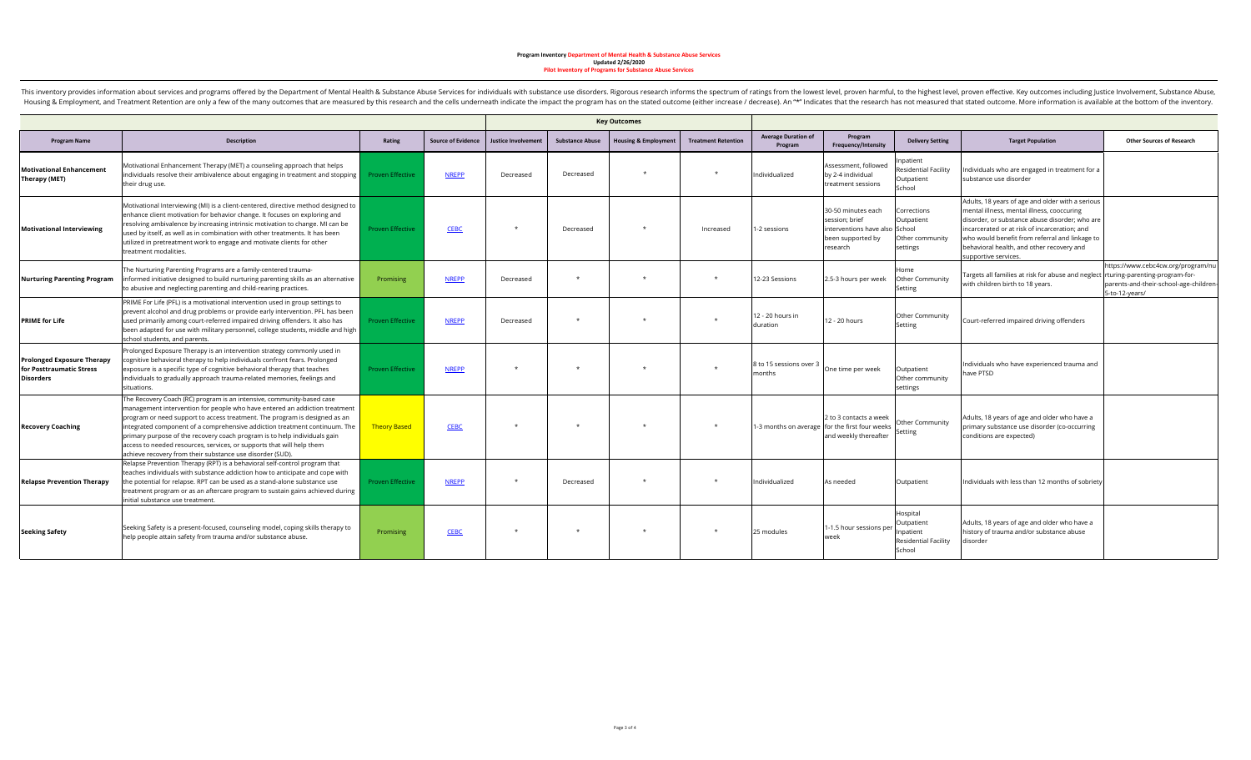|                                                                                   |                                                                                                                                                                                                                                                                                                                                                                                                                                                                                                                                    |                         |                           |                            |                        | <b>Key Outcomes</b>             |                            |                                       |                                                                                                         |                                                                              |                                                                                                                                                                                                                                                                                                                          |                                                                                                |
|-----------------------------------------------------------------------------------|------------------------------------------------------------------------------------------------------------------------------------------------------------------------------------------------------------------------------------------------------------------------------------------------------------------------------------------------------------------------------------------------------------------------------------------------------------------------------------------------------------------------------------|-------------------------|---------------------------|----------------------------|------------------------|---------------------------------|----------------------------|---------------------------------------|---------------------------------------------------------------------------------------------------------|------------------------------------------------------------------------------|--------------------------------------------------------------------------------------------------------------------------------------------------------------------------------------------------------------------------------------------------------------------------------------------------------------------------|------------------------------------------------------------------------------------------------|
| <b>Program Name</b>                                                               | <b>Description</b>                                                                                                                                                                                                                                                                                                                                                                                                                                                                                                                 | Rating                  | <b>Source of Evidence</b> | <b>Justice Involvement</b> | <b>Substance Abuse</b> | <b>Housing &amp; Employment</b> | <b>Treatment Retention</b> | <b>Average Duration of</b><br>Program | Program<br>Frequency/Intensity                                                                          | <b>Delivery Setting</b>                                                      | <b>Target Population</b>                                                                                                                                                                                                                                                                                                 | <b>Other Sources of Research</b>                                                               |
| <b>Motivational Enhancement</b><br>Therapy (MET)                                  | Motivational Enhancement Therapy (MET) a counseling approach that helps<br>individuals resolve their ambivalence about engaging in treatment and stopping<br>their drug use.                                                                                                                                                                                                                                                                                                                                                       | <b>Proven Effective</b> | <b>NREPP</b>              | Decreased                  | Decreased              |                                 | $\star$                    | Individualized                        | Assessment, followed<br>by 2-4 individual<br>treatment sessions                                         | npatient<br><b>Residential Facility</b><br>Outpatient<br>School              | Individuals who are engaged in treatment for a<br>substance use disorder                                                                                                                                                                                                                                                 |                                                                                                |
| <b>Motivational Interviewing</b>                                                  | Motivational Interviewing (MI) is a client-centered, directive method designed to<br>enhance client motivation for behavior change. It focuses on exploring and<br>resolving ambivalence by increasing intrinsic motivation to change. MI can be<br>used by itself, as well as in combination with other treatments. It has been<br>utilized in pretreatment work to engage and motivate clients for other<br>treatment modalities.                                                                                                | <b>Proven Effective</b> | <b>CEBC</b>               | $\star$                    | Decreased              |                                 | Increased                  | 1-2 sessions                          | 30-50 minutes each<br>session; brief<br>interventions have also School<br>been supported by<br>research | Corrections<br>Outpatient<br>Other community<br>settings                     | Adults, 18 years of age and older with a serious<br>mental illness, mental illness, cooccuring<br>disorder, or substance abuse disorder; who are<br>incarcerated or at risk of incarceration: and<br>who would benefit from referral and linkage to<br>behavioral health, and other recovery and<br>supportive services. |                                                                                                |
| <b>Nurturing Parenting Program</b>                                                | The Nurturing Parenting Programs are a family-centered trauma-<br>informed initiative designed to build nurturing parenting skills as an alternative<br>to abusive and neglecting parenting and child-rearing practices.                                                                                                                                                                                                                                                                                                           | Promising               | <b>NREPP</b>              | Decreased                  |                        |                                 | $\star$                    | 12-23 Sessions                        | 2.5-3 hours per week                                                                                    | Home<br>Other Community<br>Setting                                           | Targets all families at risk for abuse and neglect rturing-parenting-program-for-<br>with children birth to 18 years.                                                                                                                                                                                                    | https://www.cebc4cw.org/program/nu<br>parents-and-their-school-age-children-<br>5-to-12-years/ |
| <b>PRIME for Life</b>                                                             | PRIME For Life (PFL) is a motivational intervention used in group settings to<br>prevent alcohol and drug problems or provide early intervention. PFL has been<br>used primarily among court-referred impaired driving offenders. It also has<br>been adapted for use with military personnel, college students, middle and high<br>school students, and parents.                                                                                                                                                                  | <b>Proven Effective</b> | <b>NREPP</b>              | Decreased                  |                        |                                 | $\star$                    | 12 - 20 hours in<br>duration          | 12 - 20 hours                                                                                           | Other Community<br>Setting                                                   | Court-referred impaired driving offenders                                                                                                                                                                                                                                                                                |                                                                                                |
| <b>Prolonged Exposure Therapy</b><br>for Posttraumatic Stress<br><b>Disorders</b> | Prolonged Exposure Therapy is an intervention strategy commonly used in<br>cognitive behavioral therapy to help individuals confront fears. Prolonged<br>exposure is a specific type of cognitive behavioral therapy that teaches<br>individuals to gradually approach trauma-related memories, feelings and<br>situations.                                                                                                                                                                                                        | <b>Proven Effective</b> | <b>NREPP</b>              | $\star$                    |                        | $\ddot{}$                       | $\star$                    | 8 to 15 sessions over 3<br>months     | One time per week                                                                                       | Outpatient<br>Other community<br>settings                                    | Individuals who have experienced trauma and<br>have PTSD                                                                                                                                                                                                                                                                 |                                                                                                |
| <b>Recovery Coaching</b>                                                          | The Recovery Coach (RC) program is an intensive, community-based case<br>management intervention for people who have entered an addiction treatment<br>program or need support to access treatment. The program is designed as an<br>integrated component of a comprehensive addiction treatment continuum. The<br>primary purpose of the recovery coach program is to help individuals gain<br>access to needed resources, services, or supports that will help them<br>achieve recovery from their substance use disorder (SUD). | <b>Theory Based</b>     | <b>CEBC</b>               | $\star$                    |                        |                                 | $\star$                    |                                       | 2 to 3 contacts a week<br>1-3 months on average for the first four weeks<br>and weekly thereafter       | Other Community<br>Setting                                                   | Adults, 18 years of age and older who have a<br>primary substance use disorder (co-occurring<br>conditions are expected)                                                                                                                                                                                                 |                                                                                                |
| <b>Relapse Prevention Therapy</b>                                                 | Relapse Prevention Therapy (RPT) is a behavioral self-control program that<br>teaches individuals with substance addiction how to anticipate and cope with<br>the potential for relapse. RPT can be used as a stand-alone substance use<br>treatment program or as an aftercare program to sustain gains achieved during<br>initial substance use treatment.                                                                                                                                                                       | <b>Proven Effective</b> | <b>NREPP</b>              |                            | Decreased              |                                 |                            | Individualized                        | As needed                                                                                               | Outpatient                                                                   | Individuals with less than 12 months of sobriety                                                                                                                                                                                                                                                                         |                                                                                                |
| <b>Seeking Safety</b>                                                             | Seeking Safety is a present-focused, counseling model, coping skills therapy to<br>help people attain safety from trauma and/or substance abuse.                                                                                                                                                                                                                                                                                                                                                                                   | Promising               | <b>CEBC</b>               | $\star$                    |                        | $\star$                         | $\star$                    | 25 modules                            | -1.5 hour sessions pe<br>week                                                                           | Hospital<br>Outpatient<br>Inpatient<br><b>Residential Facility</b><br>School | Adults, 18 years of age and older who have a<br>history of trauma and/or substance abuse<br>disorder                                                                                                                                                                                                                     |                                                                                                |